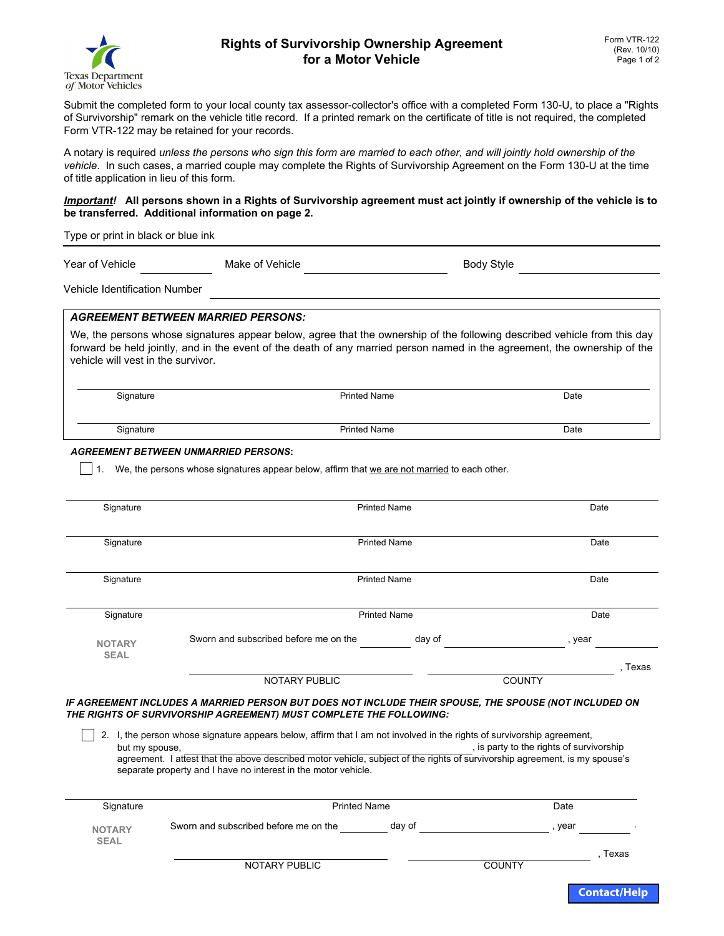

# **Rights of Survivorship Ownership Agreement for a Motor Vehicle**

Submit the completed form to your local county tax assessor-collector's office with a completed Form 130-U, to place a "Rights of Survivorship" remark on the vehicle title record. If a printed remark on the certificate of title is not required, the completed Form VTR-122 may be retained for your records.

A notary is required *unless the persons who sign this form are married to each other, and will jointly hold ownership of the vehicle*. In such cases, a married couple may complete the Rights of Survivorship Agreement on the Form 130-U at the time of title application in lieu of this form.

#### *Important!* **All persons shown in a Rights of Survivorship agreement must act jointly if ownership of the vehicle is to be transferred. Additional information on page 2.**

Type or print in black or blue ink

Year of Vehicle

Make of Vehicle **Body Style** Body Style

Vehicle Identification Number

# *AGREEMENT BETWEEN MARRIED PERSONS:*

We, the persons whose signatures appear below, agree that the ownership of the following described vehicle from this day forward be held jointly, and in the event of the death of any married person named in the agreement, the ownership of the vehicle will vest in the survivor.

Signature **Printed Name** Printed Name **Printed Name Printed Name Date** 

Signature Date **Printed Name** Date **Date** 

*AGREEMENT BETWEEN UNMARRIED PERSONS***:**

 $\vert \cdot \vert$  1. We, the persons whose signatures appear below, affirm that we are not married to each other.

| Signature                        | <b>Printed Name</b>                                                                                                                                                                                                                                                                                   |        | Date                                     |
|----------------------------------|-------------------------------------------------------------------------------------------------------------------------------------------------------------------------------------------------------------------------------------------------------------------------------------------------------|--------|------------------------------------------|
| Signature                        | <b>Printed Name</b>                                                                                                                                                                                                                                                                                   |        | Date                                     |
| Signature                        | <b>Printed Name</b>                                                                                                                                                                                                                                                                                   |        | Date                                     |
| Signature                        | <b>Printed Name</b>                                                                                                                                                                                                                                                                                   |        | Date                                     |
| <b>NOTARY</b><br><b>SEAL</b>     | Sworn and subscribed before me on the                                                                                                                                                                                                                                                                 | day of | , year                                   |
|                                  |                                                                                                                                                                                                                                                                                                       |        | . Texas                                  |
|                                  | <b>NOTARY PUBLIC</b>                                                                                                                                                                                                                                                                                  |        | <b>COUNTY</b>                            |
|                                  | IF AGREEMENT INCLUDES A MARRIED PERSON BUT DOES NOT INCLUDE THEIR SPOUSE, THE SPOUSE (NOT INCLUDED ON<br>THE RIGHTS OF SURVIVORSHIP AGREEMENT) MUST COMPLETE THE FOLLOWING:<br>2. I, the person whose signature appears below, affirm that I am not involved in the rights of survivorship agreement, |        |                                          |
| but my spouse.                   |                                                                                                                                                                                                                                                                                                       |        | , is party to the rights of survivorship |
|                                  | agreement. I attest that the above described motor vehicle, subject of the rights of survivorship agreement, is my spouse's<br>separate property and I have no interest in the motor vehicle.                                                                                                         |        |                                          |
|                                  |                                                                                                                                                                                                                                                                                                       |        |                                          |
| <b>Printed Name</b><br>Signature |                                                                                                                                                                                                                                                                                                       |        | Date                                     |
| <b>NOTARY</b>                    | Sworn and subscribed before me on the                                                                                                                                                                                                                                                                 | day of | , year                                   |
| <b>SEAL</b>                      |                                                                                                                                                                                                                                                                                                       |        |                                          |

NOTARY PUBLIC COUNTY

, Texas